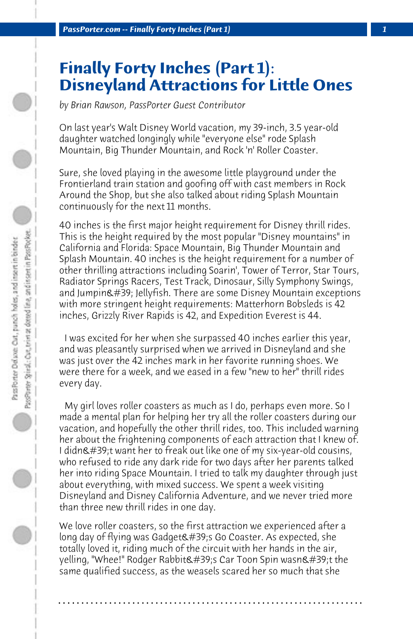## **Finally Forty Inches (Part 1): Disneyland Attractions for Little Ones**

*by Brian Rawson, PassPorter Guest Contributor*

On last year's Walt Disney World vacation, my 39-inch, 3.5 year-old daughter watched longingly while "everyone else" rode Splash Mountain, Big Thunder Mountain, and Rock 'n' Roller Coaster.

Sure, she loved playing in the awesome little playground under the Frontierland train station and goofing off with cast members in Rock Around the Shop, but she also talked about riding Splash Mountain continuously for the next 11 months.

40 inches is the first major height requirement for Disney thrill rides. This is the height required by the most popular "Disney mountains" in California and Florida: Space Mountain, Big Thunder Mountain and Splash Mountain. 40 inches is the height requirement for a number of other thrilling attractions including Soarin', Tower of Terror, Star Tours, Radiator Springs Racers, Test Track, Dinosaur, Silly Symphony Swings, and Jumpin' Jellyfish. There are some Disney Mountain exceptions with more stringent height requirements: Matterhorn Bobsleds is 42 inches, Grizzly River Rapids is 42, and Expedition Everest is 44.

 I was excited for her when she surpassed 40 inches earlier this year, and was pleasantly surprised when we arrived in Disneyland and she was just over the 42 inches mark in her favorite running shoes. We were there for a week, and we eased in a few "new to her" thrill rides every day.

 My girl loves roller coasters as much as I do, perhaps even more. So I made a mental plan for helping her try all the roller coasters during our vacation, and hopefully the other thrill rides, too. This included warning her about the frightening components of each attraction that I knew of. I didn't want her to freak out like one of my six-year-old cousins, who refused to ride any dark ride for two days after her parents talked her into riding Space Mountain. I tried to talk my daughter through just about everything, with mixed success. We spent a week visiting Disneyland and Disney California Adventure, and we never tried more than three new thrill rides in one day.

We love roller coasters, so the first attraction we experienced after a long day of flying was Gadget $\&\#39$ ;s Go Coaster. As expected, she totally loved it, riding much of the circuit with her hands in the air, yelling, "Whee!" Rodger Rabbit's Car Toon Spin wasn't the same qualified success, as the weasels scared her so much that she

**. . . . . . . . . . . . . . . . . . . . . . . . . . . . . . . . . . . . . . . . . . . . . . . . . . . . . . . . . . . . . . . . . .**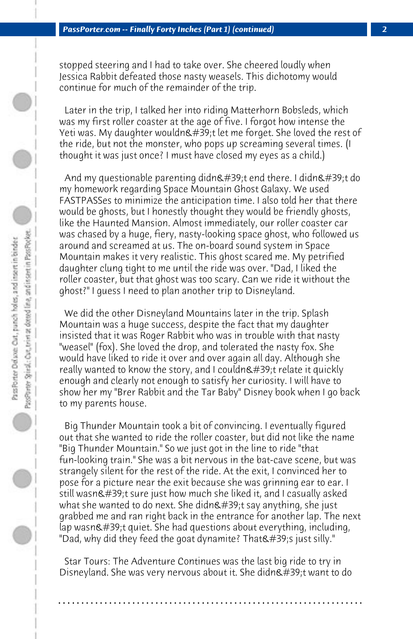stopped steering and I had to take over. She cheered loudly when Jessica Rabbit defeated those nasty weasels. This dichotomy would continue for much of the remainder of the trip.

 Later in the trip, I talked her into riding Matterhorn Bobsleds, which was my first roller coaster at the age of five. I forgot how intense the Yeti was. My daughter wouldn't let me forget. She loved the rest of the ride, but not the monster, who pops up screaming several times. (I thought it was just once? I must have closed my eyes as a child.)

And my questionable parenting didn $&\#39$ ; t end there. I didn $&\#39$ ; t do my homework regarding Space Mountain Ghost Galaxy. We used FASTPASSes to minimize the anticipation time. I also told her that there would be ghosts, but I honestly thought they would be friendly ghosts, like the Haunted Mansion. Almost immediately, our roller coaster car was chased by a huge, fiery, nasty-looking space ghost, who followed us around and screamed at us. The on-board sound system in Space Mountain makes it very realistic. This ghost scared me. My petrified daughter clung tight to me until the ride was over. "Dad, I liked the roller coaster, but that ghost was too scary. Can we ride it without the ghost?" I guess I need to plan another trip to Disneyland.

 We did the other Disneyland Mountains later in the trip. Splash Mountain was a huge success, despite the fact that my daughter insisted that it was Roger Rabbit who was in trouble with that nasty "weasel" (fox). She loved the drop, and tolerated the nasty fox. She would have liked to ride it over and over again all day. Although she really wanted to know the story, and I couldn $\&\#39$ ;t relate it quickly enough and clearly not enough to satisfy her curiosity. I will have to show her my "Brer Rabbit and the Tar Baby" Disney book when I go back to my parents house.

 Big Thunder Mountain took a bit of convincing. I eventually figured out that she wanted to ride the roller coaster, but did not like the name "Big Thunder Mountain." So we just got in the line to ride "that fun-looking train." She was a bit nervous in the bat-cave scene, but was strangely silent for the rest of the ride. At the exit, I convinced her to pose for a picture near the exit because she was grinning ear to ear. I still wasn't sure just how much she liked it, and I casually asked what she wanted to do next. She didn $&\#39$ ;t say anything, she just grabbed me and ran right back in the entrance for another lap. The next lap wasn't quiet. She had questions about everything, including, "Dad, why did they feed the goat dynamite? That's just silly."

 Star Tours: The Adventure Continues was the last big ride to try in Disneyland. She was very nervous about it. She didn't want to do

**. . . . . . . . . . . . . . . . . . . . . . . . . . . . . . . . . . . . . . . . . . . . . . . . . . . . . . . . . . . . . . . . . .**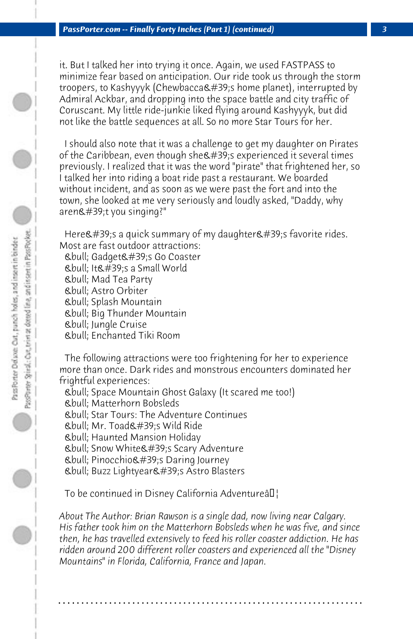it. But I talked her into trying it once. Again, we used FASTPASS to minimize fear based on anticipation. Our ride took us through the storm troopers, to Kashyyyk (Chewbacca's home planet), interrupted by Admiral Ackbar, and dropping into the space battle and city traffic of Coruscant. My little ride-junkie liked flying around Kashyyyk, but did not like the battle sequences at all. So no more Star Tours for her.

 I should also note that it was a challenge to get my daughter on Pirates of the Caribbean, even though she ' sexperienced it several times previously. I realized that it was the word "pirate" that frightened her, so I talked her into riding a boat ride past a restaurant. We boarded without incident, and as soon as we were past the fort and into the town, she looked at me very seriously and loudly asked, "Daddy, why  $aren$ g#39;t you singing?"

Here  $\#39$ ; s a quick summary of my daughter  $\#39$ ; s favorite rides. Most are fast outdoor attractions:

 • Gadget's Go Coaster

- $\&$  bull; It's a Small World
- • Mad Tea Party
- • Astro Orbiter
- • Splash Mountain
- • Big Thunder Mountain
- • Jungle Cruise
- • Enchanted Tiki Room

 The following attractions were too frightening for her to experience more than once. Dark rides and monstrous encounters dominated her frightful experiences:

- • Space Mountain Ghost Galaxy (It scared me too!)
- • Matterhorn Bobsleds
- • Star Tours: The Adventure Continues
- Ebull; Mr. Toad $\&\#39$ ;s Wild Ride
- • Haunted Mansion Holiday
- *Cabull: Snow White C#39;s Scary Adventure*
- • Pinocchio's Daring Journey

 • Buzz Lightyear's Astro Blasters

To be continued in Disney California Adventure  $\hat{\epsilon}$ 

*About The Author: Brian Rawson is a single dad, now living near Calgary. His father took him on the Matterhorn Bobsleds when he was five, and since then, he has travelled extensively to feed his roller coaster addiction. He has ridden around 200 different roller coasters and experienced all the "Disney Mountains" in Florida, California, France and Japan.*

**. . . . . . . . . . . . . . . . . . . . . . . . . . . . . . . . . . . . . . . . . . . . . . . . . . . . . . . . . . . . . . . . . .**